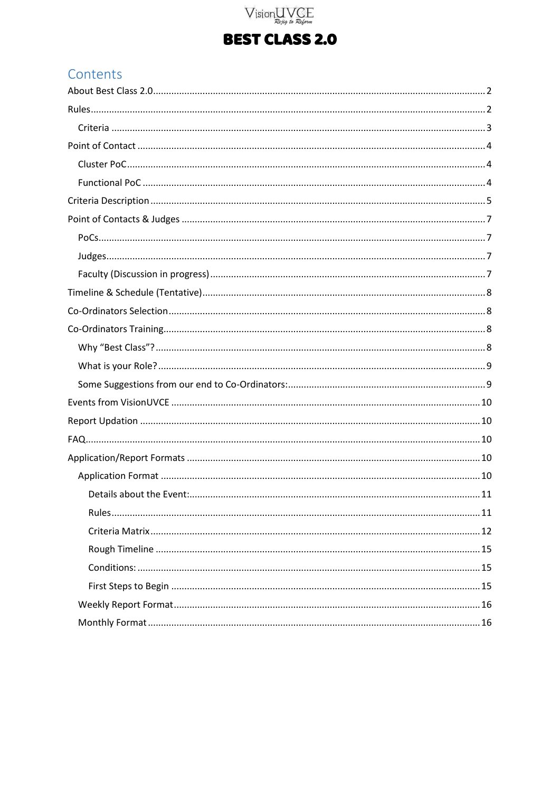# Vision UVCE

## **BEST CLASS 2.0**

## Contents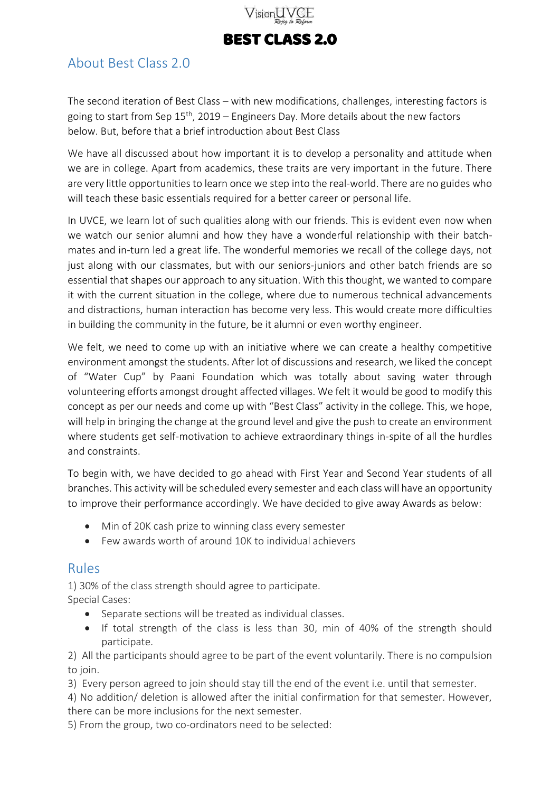

### <span id="page-1-0"></span>About Best Class 2.0

The second iteration of Best Class – with new modifications, challenges, interesting factors is going to start from Sep  $15<sup>th</sup>$ , 2019 – Engineers Day. More details about the new factors below. But, before that a brief introduction about Best Class

We have all discussed about how important it is to develop a personality and attitude when we are in college. Apart from academics, these traits are very important in the future. There are very little opportunities to learn once we step into the real-world. There are no guides who will teach these basic essentials required for a better career or personal life.

In UVCE, we learn lot of such qualities along with our friends. This is evident even now when we watch our senior alumni and how they have a wonderful relationship with their batchmates and in-turn led a great life. The wonderful memories we recall of the college days, not just along with our classmates, but with our seniors-juniors and other batch friends are so essential that shapes our approach to any situation. With this thought, we wanted to compare it with the current situation in the college, where due to numerous technical advancements and distractions, human interaction has become very less. This would create more difficulties in building the community in the future, be it alumni or even worthy engineer.

We felt, we need to come up with an initiative where we can create a healthy competitive environment amongst the students. After lot of discussions and research, we liked the concept of "Water Cup" by Paani Foundation which was totally about saving water through volunteering efforts amongst drought affected villages. We felt it would be good to modify this concept as per our needs and come up with "Best Class" activity in the college. This, we hope, will help in bringing the change at the ground level and give the push to create an environment where students get self-motivation to achieve extraordinary things in-spite of all the hurdles and constraints.

To begin with, we have decided to go ahead with First Year and Second Year students of all branches. This activity will be scheduled every semester and each class will have an opportunity to improve their performance accordingly. We have decided to give away Awards as below:

- Min of 20K cash prize to winning class every semester
- Few awards worth of around 10K to individual achievers

#### <span id="page-1-1"></span>Rules

1) 30% of the class strength should agree to participate. Special Cases:

- Separate sections will be treated as individual classes.
- If total strength of the class is less than 30, min of 40% of the strength should participate.

2) All the participants should agree to be part of the event voluntarily. There is no compulsion to join.

3) Every person agreed to join should stay till the end of the event i.e. until that semester.

4) No addition/ deletion is allowed after the initial confirmation for that semester. However, there can be more inclusions for the next semester.

5) From the group, two co-ordinators need to be selected: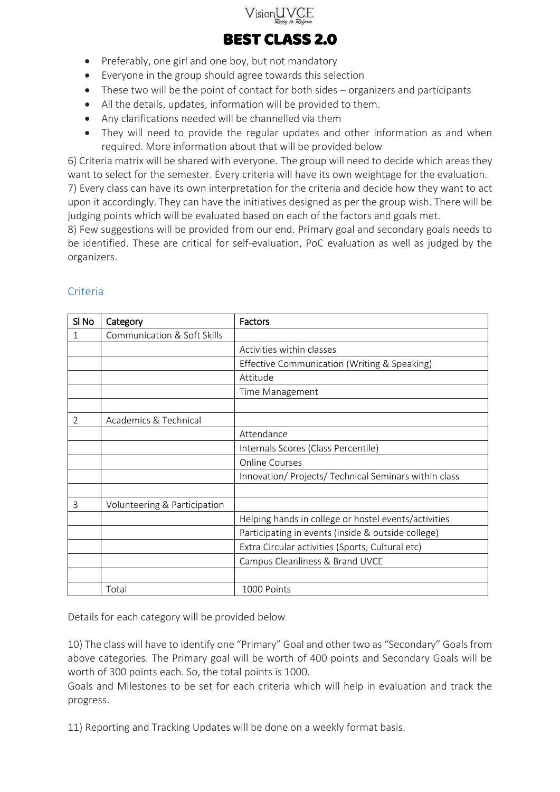

- Preferably, one girl and one boy, but not mandatory
- Everyone in the group should agree towards this selection
- These two will be the point of contact for both sides organizers and participants
- All the details, updates, information will be provided to them.
- Any clarifications needed will be channelled via them
- They will need to provide the regular updates and other information as and when required. More information about that will be provided below

6) Criteria matrix will be shared with everyone. The group will need to decide which areas they want to select for the semester. Every criteria will have its own weightage for the evaluation.

7) Every class can have its own interpretation for the criteria and decide how they want to act upon it accordingly. They can have the initiatives designed as per the group wish. There will be judging points which will be evaluated based on each of the factors and goals met.

8) Few suggestions will be provided from our end. Primary goal and secondary goals needs to be identified. These are critical for self-evaluation, PoC evaluation as well as judged by the organizers.

| SI <sub>No</sub> | Category                     | Factors                                               |
|------------------|------------------------------|-------------------------------------------------------|
| 1                | Communication & Soft Skills  |                                                       |
|                  |                              | Activities within classes                             |
|                  |                              | Effective Communication (Writing & Speaking)          |
|                  |                              | Attitude                                              |
|                  |                              | Time Management                                       |
|                  |                              |                                                       |
| $\overline{2}$   | Academics & Technical        |                                                       |
|                  |                              | Attendance                                            |
|                  |                              | Internals Scores (Class Percentile)                   |
|                  |                              | <b>Online Courses</b>                                 |
|                  |                              | Innovation/ Projects/ Technical Seminars within class |
|                  |                              |                                                       |
| 3                | Volunteering & Participation |                                                       |
|                  |                              | Helping hands in college or hostel events/activities  |
|                  |                              | Participating in events (inside & outside college)    |
|                  |                              | Extra Circular activities (Sports, Cultural etc)      |
|                  |                              | Campus Cleanliness & Brand UVCE                       |
|                  |                              |                                                       |
|                  | Total                        | 1000 Points                                           |

#### <span id="page-2-0"></span>Criteria

Details for each category will be provided below

10) The class will have to identify one "Primary" Goal and other two as "Secondary" Goals from above categories. The Primary goal will be worth of 400 points and Secondary Goals will be worth of 300 points each. So, the total points is 1000.

Goals and Milestones to be set for each criteria which will help in evaluation and track the progress.

11) Reporting and Tracking Updates will be done on a weekly format basis.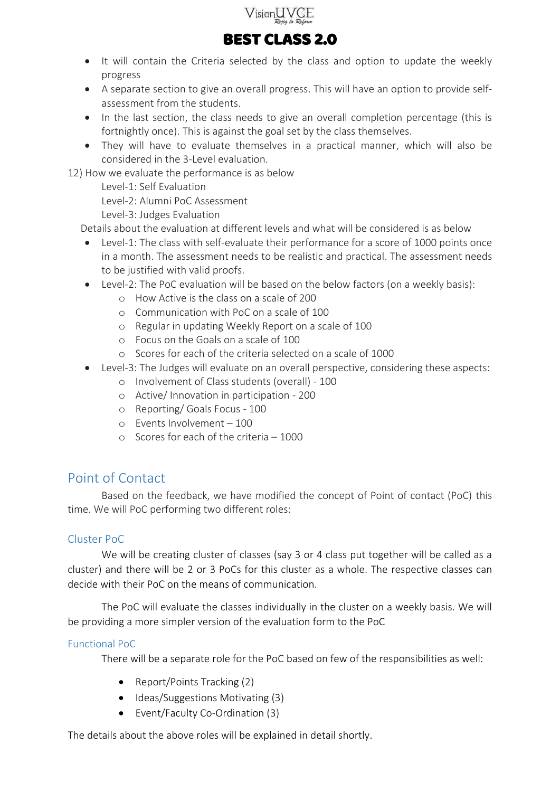



- It will contain the Criteria selected by the class and option to update the weekly progress
- A separate section to give an overall progress. This will have an option to provide selfassessment from the students.
- In the last section, the class needs to give an overall completion percentage (this is fortnightly once). This is against the goal set by the class themselves.
- They will have to evaluate themselves in a practical manner, which will also be considered in the 3-Level evaluation.

12) How we evaluate the performance is as below

Level-1: Self Evaluation

Level-2: Alumni PoC Assessment

Level-3: Judges Evaluation

Details about the evaluation at different levels and what will be considered is as below

- Level-1: The class with self-evaluate their performance for a score of 1000 points once in a month. The assessment needs to be realistic and practical. The assessment needs to be justified with valid proofs.
- Level-2: The PoC evaluation will be based on the below factors (on a weekly basis):
	- o How Active is the class on a scale of 200
	- o Communication with PoC on a scale of 100
	- o Regular in updating Weekly Report on a scale of 100
	- o Focus on the Goals on a scale of 100
	- o Scores for each of the criteria selected on a scale of 1000
- Level-3: The Judges will evaluate on an overall perspective, considering these aspects:
	- o Involvement of Class students (overall) 100
	- o Active/ Innovation in participation 200
	- o Reporting/ Goals Focus 100
	- o Events Involvement 100
	- o Scores for each of the criteria 1000

### <span id="page-3-0"></span>Point of Contact

Based on the feedback, we have modified the concept of Point of contact (PoC) this time. We will PoC performing two different roles:

#### <span id="page-3-1"></span>Cluster PoC

We will be creating cluster of classes (say 3 or 4 class put together will be called as a cluster) and there will be 2 or 3 PoCs for this cluster as a whole. The respective classes can decide with their PoC on the means of communication.

The PoC will evaluate the classes individually in the cluster on a weekly basis. We will be providing a more simpler version of the evaluation form to the PoC

#### <span id="page-3-2"></span>Functional PoC

There will be a separate role for the PoC based on few of the responsibilities as well:

- Report/Points Tracking (2)
- $\bullet$  Ideas/Suggestions Motivating (3)
- Event/Faculty Co-Ordination (3)

The details about the above roles will be explained in detail shortly.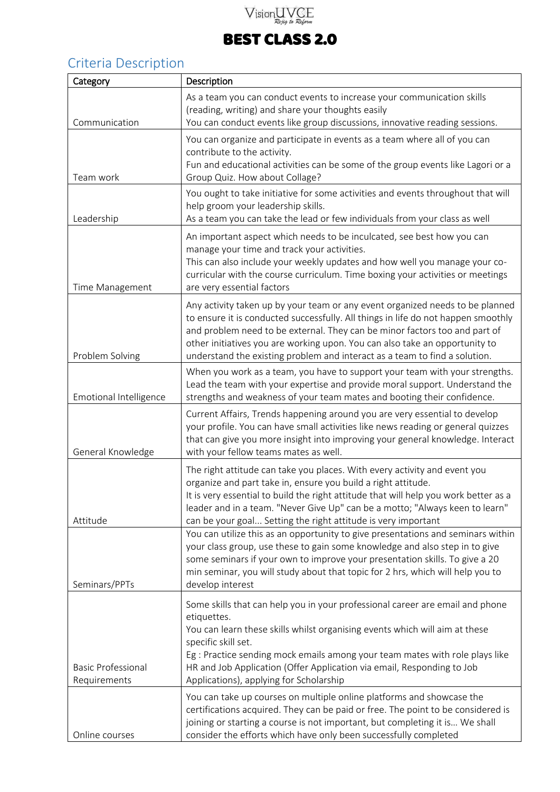# Vision UVCE

## BEST CLASS 2.0

## <span id="page-4-0"></span>Criteria Description

| Category                                  | Description                                                                                                                                                                                                                                                                                                                                                                                                   |  |  |
|-------------------------------------------|---------------------------------------------------------------------------------------------------------------------------------------------------------------------------------------------------------------------------------------------------------------------------------------------------------------------------------------------------------------------------------------------------------------|--|--|
| Communication                             | As a team you can conduct events to increase your communication skills<br>(reading, writing) and share your thoughts easily<br>You can conduct events like group discussions, innovative reading sessions.                                                                                                                                                                                                    |  |  |
| Team work                                 | You can organize and participate in events as a team where all of you can<br>contribute to the activity.<br>Fun and educational activities can be some of the group events like Lagori or a<br>Group Quiz. How about Collage?                                                                                                                                                                                 |  |  |
| Leadership                                | You ought to take initiative for some activities and events throughout that will<br>help groom your leadership skills.<br>As a team you can take the lead or few individuals from your class as well                                                                                                                                                                                                          |  |  |
| Time Management                           | An important aspect which needs to be inculcated, see best how you can<br>manage your time and track your activities.<br>This can also include your weekly updates and how well you manage your co-<br>curricular with the course curriculum. Time boxing your activities or meetings<br>are very essential factors                                                                                           |  |  |
| Problem Solving                           | Any activity taken up by your team or any event organized needs to be planned<br>to ensure it is conducted successfully. All things in life do not happen smoothly<br>and problem need to be external. They can be minor factors too and part of<br>other initiatives you are working upon. You can also take an opportunity to<br>understand the existing problem and interact as a team to find a solution. |  |  |
| Emotional Intelligence                    | When you work as a team, you have to support your team with your strengths.<br>Lead the team with your expertise and provide moral support. Understand the<br>strengths and weakness of your team mates and booting their confidence.                                                                                                                                                                         |  |  |
| General Knowledge                         | Current Affairs, Trends happening around you are very essential to develop<br>your profile. You can have small activities like news reading or general quizzes<br>that can give you more insight into improving your general knowledge. Interact<br>with your fellow teams mates as well.                                                                                                                     |  |  |
| Attitude                                  | The right attitude can take you places. With every activity and event you<br>organize and part take in, ensure you build a right attitude.<br>It is very essential to build the right attitude that will help you work better as a<br>leader and in a team. "Never Give Up" can be a motto; "Always keen to learn"<br>can be your goal Setting the right attitude is very important                           |  |  |
| Seminars/PPTs                             | You can utilize this as an opportunity to give presentations and seminars within<br>your class group, use these to gain some knowledge and also step in to give<br>some seminars if your own to improve your presentation skills. To give a 20<br>min seminar, you will study about that topic for 2 hrs, which will help you to<br>develop interest                                                          |  |  |
| <b>Basic Professional</b><br>Requirements | Some skills that can help you in your professional career are email and phone<br>etiquettes.<br>You can learn these skills whilst organising events which will aim at these<br>specific skill set.<br>Eg : Practice sending mock emails among your team mates with role plays like<br>HR and Job Application (Offer Application via email, Responding to Job<br>Applications), applying for Scholarship       |  |  |
| Online courses                            | You can take up courses on multiple online platforms and showcase the<br>certifications acquired. They can be paid or free. The point to be considered is<br>joining or starting a course is not important, but completing it is We shall<br>consider the efforts which have only been successfully completed                                                                                                 |  |  |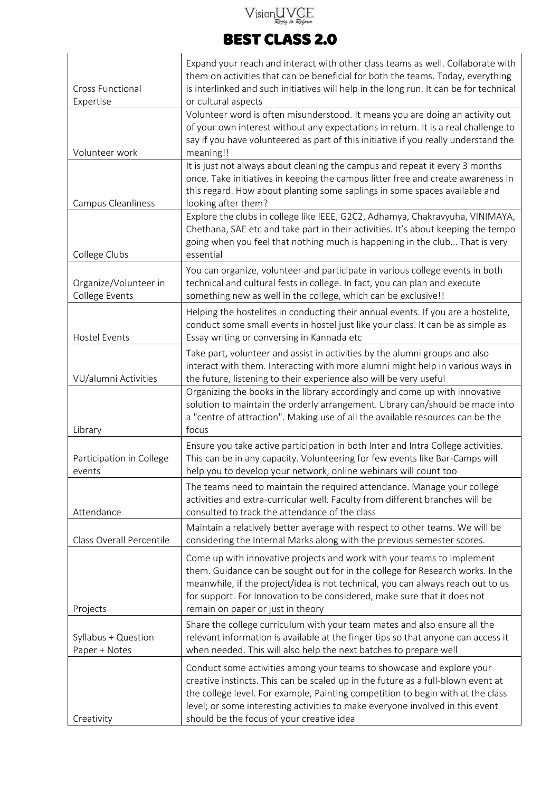# $\sqrt{\text{isionUVGE}}$

## BEST CLASS 2.0

| <b>Cross Functional</b><br>Expertise    | Expand your reach and interact with other class teams as well. Collaborate with<br>them on activities that can be beneficial for both the teams. Today, everything<br>is interlinked and such initiatives will help in the long run. It can be for technical<br>or cultural aspects                                                                                        |  |  |
|-----------------------------------------|----------------------------------------------------------------------------------------------------------------------------------------------------------------------------------------------------------------------------------------------------------------------------------------------------------------------------------------------------------------------------|--|--|
| Volunteer work                          | Volunteer word is often misunderstood. It means you are doing an activity out<br>of your own interest without any expectations in return. It is a real challenge to<br>say if you have volunteered as part of this initiative if you really understand the<br>meaning!!                                                                                                    |  |  |
| Campus Cleanliness                      | It is just not always about cleaning the campus and repeat it every 3 months<br>once. Take initiatives in keeping the campus litter free and create awareness in<br>this regard. How about planting some saplings in some spaces available and<br>looking after them?                                                                                                      |  |  |
| College Clubs                           | Explore the clubs in college like IEEE, G2C2, Adhamya, Chakravyuha, VINIMAYA,<br>Chethana, SAE etc and take part in their activities. It's about keeping the tempo<br>going when you feel that nothing much is happening in the club That is very<br>essential                                                                                                             |  |  |
| Organize/Volunteer in<br>College Events | You can organize, volunteer and participate in various college events in both<br>technical and cultural fests in college. In fact, you can plan and execute<br>something new as well in the college, which can be exclusive!!                                                                                                                                              |  |  |
| <b>Hostel Events</b>                    | Helping the hostelites in conducting their annual events. If you are a hostelite,<br>conduct some small events in hostel just like your class. It can be as simple as<br>Essay writing or conversing in Kannada etc                                                                                                                                                        |  |  |
| VU/alumni Activities                    | Take part, volunteer and assist in activities by the alumni groups and also<br>interact with them. Interacting with more alumni might help in various ways in<br>the future, listening to their experience also will be very useful                                                                                                                                        |  |  |
| Library                                 | Organizing the books in the library accordingly and come up with innovative<br>solution to maintain the orderly arrangement. Library can/should be made into<br>a "centre of attraction". Making use of all the available resources can be the<br>focus                                                                                                                    |  |  |
| Participation in College<br>events      | Ensure you take active participation in both Inter and Intra College activities.<br>This can be in any capacity. Volunteering for few events like Bar-Camps will<br>help you to develop your network, online webinars will count too                                                                                                                                       |  |  |
| Attendance                              | The teams need to maintain the required attendance. Manage your college<br>activities and extra-curricular well. Faculty from different branches will be<br>consulted to track the attendance of the class                                                                                                                                                                 |  |  |
| Class Overall Percentile                | Maintain a relatively better average with respect to other teams. We will be<br>considering the Internal Marks along with the previous semester scores.                                                                                                                                                                                                                    |  |  |
| Projects                                | Come up with innovative projects and work with your teams to implement<br>them. Guidance can be sought out for in the college for Research works. In the<br>meanwhile, if the project/idea is not technical, you can always reach out to us<br>for support. For Innovation to be considered, make sure that it does not<br>remain on paper or just in theory               |  |  |
| Syllabus + Question<br>Paper + Notes    | Share the college curriculum with your team mates and also ensure all the<br>relevant information is available at the finger tips so that anyone can access it<br>when needed. This will also help the next batches to prepare well                                                                                                                                        |  |  |
| Creativity                              | Conduct some activities among your teams to showcase and explore your<br>creative instincts. This can be scaled up in the future as a full-blown event at<br>the college level. For example, Painting competition to begin with at the class<br>level; or some interesting activities to make everyone involved in this event<br>should be the focus of your creative idea |  |  |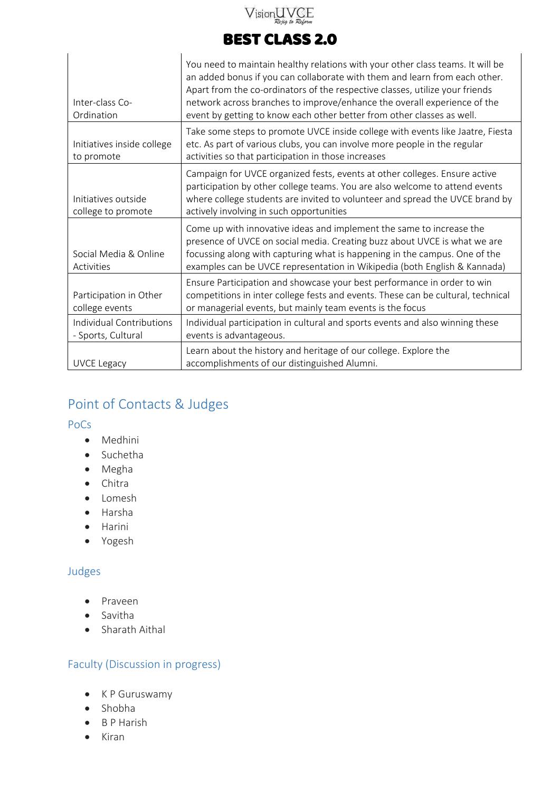## $V$ ision $\underset{\mathcal{R} \text{e}\neq\text{iq}}{\text{U}}\underset{\mathcal{R} \text{e}}{\text{VCE}}$

## BEST CLASS 2.0

| Inter-class Co-<br>Ordination                                                                                                                              | You need to maintain healthy relations with your other class teams. It will be<br>an added bonus if you can collaborate with them and learn from each other.<br>Apart from the co-ordinators of the respective classes, utilize your friends<br>network across branches to improve/enhance the overall experience of the<br>event by getting to know each other better from other classes as well. |
|------------------------------------------------------------------------------------------------------------------------------------------------------------|----------------------------------------------------------------------------------------------------------------------------------------------------------------------------------------------------------------------------------------------------------------------------------------------------------------------------------------------------------------------------------------------------|
| Initiatives inside college<br>to promote                                                                                                                   | Take some steps to promote UVCE inside college with events like Jaatre, Fiesta<br>etc. As part of various clubs, you can involve more people in the regular<br>activities so that participation in those increases                                                                                                                                                                                 |
| Initiatives outside<br>college to promote                                                                                                                  | Campaign for UVCE organized fests, events at other colleges. Ensure active<br>participation by other college teams. You are also welcome to attend events<br>where college students are invited to volunteer and spread the UVCE brand by<br>actively involving in such opportunities                                                                                                              |
| Social Media & Online<br>Activities                                                                                                                        | Come up with innovative ideas and implement the same to increase the<br>presence of UVCE on social media. Creating buzz about UVCE is what we are<br>focussing along with capturing what is happening in the campus. One of the<br>examples can be UVCE representation in Wikipedia (both English & Kannada)                                                                                       |
| Participation in Other<br>college events                                                                                                                   | Ensure Participation and showcase your best performance in order to win<br>competitions in inter college fests and events. These can be cultural, technical<br>or managerial events, but mainly team events is the focus                                                                                                                                                                           |
| Individual Contributions<br>Individual participation in cultural and sports events and also winning these<br>- Sports, Cultural<br>events is advantageous. |                                                                                                                                                                                                                                                                                                                                                                                                    |
| <b>UVCE Legacy</b>                                                                                                                                         | Learn about the history and heritage of our college. Explore the<br>accomplishments of our distinguished Alumni.                                                                                                                                                                                                                                                                                   |

## <span id="page-6-0"></span>Point of Contacts & Judges

<span id="page-6-1"></span>PoCs

- Medhini
- Suchetha
- Megha
- Chitra
- Lomesh
- Harsha
- Harini
- Yogesh

#### <span id="page-6-2"></span>Judges

- Praveen
- Savitha
- Sharath Aithal

#### <span id="page-6-3"></span>Faculty (Discussion in progress)

- K P Guruswamy
- Shobha
- B P Harish
- $\bullet$  Kiran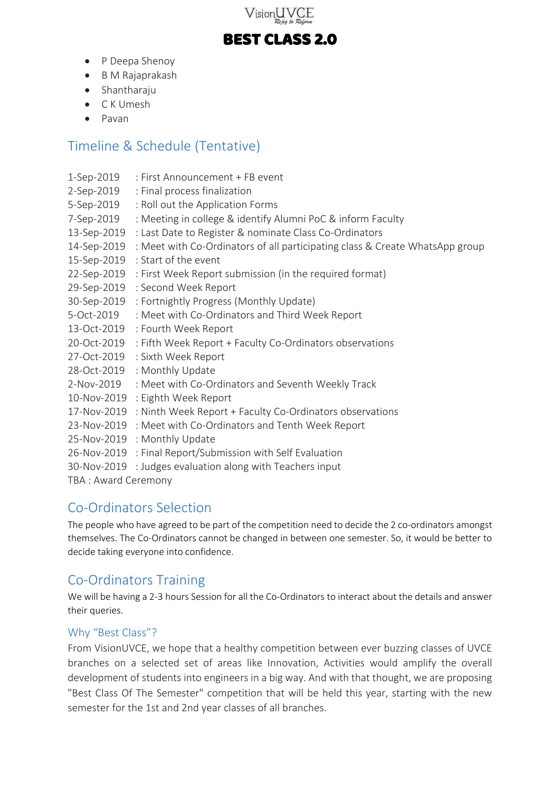

- P Deepa Shenoy
- B M Rajaprakash
- Shantharaju
- C K Umesh
- Pavan

### <span id="page-7-0"></span>Timeline & Schedule (Tentative)

| 1-Sep-2019          | : First Announcement + FB event                                              |
|---------------------|------------------------------------------------------------------------------|
| 2-Sep-2019          | : Final process finalization                                                 |
| 5-Sep-2019          | : Roll out the Application Forms                                             |
| 7-Sep-2019          | : Meeting in college & identify Alumni PoC & inform Faculty                  |
| 13-Sep-2019         | : Last Date to Register & nominate Class Co-Ordinators                       |
| 14-Sep-2019         | : Meet with Co-Ordinators of all participating class & Create WhatsApp group |
| 15-Sep-2019         | : Start of the event                                                         |
| 22-Sep-2019         | : First Week Report submission (in the required format)                      |
| 29-Sep-2019         | : Second Week Report                                                         |
| 30-Sep-2019         | : Fortnightly Progress (Monthly Update)                                      |
| 5-Oct-2019          | : Meet with Co-Ordinators and Third Week Report                              |
| 13-Oct-2019         | : Fourth Week Report                                                         |
| 20-Oct-2019         | : Fifth Week Report + Faculty Co-Ordinators observations                     |
| 27-Oct-2019         | : Sixth Week Report                                                          |
| 28-Oct-2019         | : Monthly Update                                                             |
| 2-Nov-2019          | : Meet with Co-Ordinators and Seventh Weekly Track                           |
| 10-Nov-2019         | : Eighth Week Report                                                         |
| 17-Nov-2019         | : Ninth Week Report + Faculty Co-Ordinators observations                     |
| 23-Nov-2019         | : Meet with Co-Ordinators and Tenth Week Report                              |
| 25-Nov-2019         | : Monthly Update                                                             |
| 26-Nov-2019         | : Final Report/Submission with Self Evaluation                               |
| 30-Nov-2019         | : Judges evaluation along with Teachers input                                |
| TBA: Award Ceremony |                                                                              |

### <span id="page-7-1"></span>Co-Ordinators Selection

The people who have agreed to be part of the competition need to decide the 2 co-ordinators amongst themselves. The Co-Ordinators cannot be changed in between one semester. So, it would be better to decide taking everyone into confidence.

## <span id="page-7-2"></span>Co-Ordinators Training

We will be having a 2-3 hours Session for all the Co-Ordinators to interact about the details and answer their queries.

#### <span id="page-7-3"></span>Why "Best Class"?

From VisionUVCE, we hope that a healthy competition between ever buzzing classes of UVCE branches on a selected set of areas like Innovation, Activities would amplify the overall development of students into engineers in a big way. And with that thought, we are proposing "Best Class Of The Semester" competition that will be held this year, starting with the new semester for the 1st and 2nd year classes of all branches.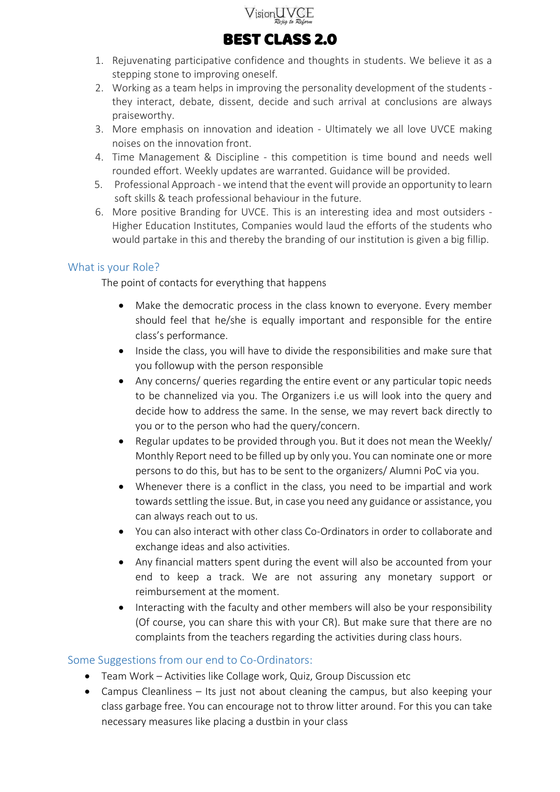

- 1. Rejuvenating participative confidence and thoughts in students. We believe it as a stepping stone to improving oneself.
- 2. Working as a team helps in improving the personality development of the students they interact, debate, dissent, decide and such arrival at conclusions are always praiseworthy.
- 3. More emphasis on innovation and ideation Ultimately we all love UVCE making noises on the innovation front.
- 4. Time Management & Discipline this competition is time bound and needs well rounded effort. Weekly updates are warranted. Guidance will be provided.
- 5. Professional Approach we intend that the event will provide an opportunity to learn soft skills & teach professional behaviour in the future.
- 6. More positive Branding for UVCE. This is an interesting idea and most outsiders Higher Education Institutes, Companies would laud the efforts of the students who would partake in this and thereby the branding of our institution is given a big fillip.

#### <span id="page-8-0"></span>What is your Role?

The point of contacts for everything that happens

- Make the democratic process in the class known to everyone. Every member should feel that he/she is equally important and responsible for the entire class's performance.
- Inside the class, you will have to divide the responsibilities and make sure that you followup with the person responsible
- Any concerns/ queries regarding the entire event or any particular topic needs to be channelized via you. The Organizers i.e us will look into the query and decide how to address the same. In the sense, we may revert back directly to you or to the person who had the query/concern.
- Regular updates to be provided through you. But it does not mean the Weekly/ Monthly Report need to be filled up by only you. You can nominate one or more persons to do this, but has to be sent to the organizers/ Alumni PoC via you.
- Whenever there is a conflict in the class, you need to be impartial and work towards settling the issue. But, in case you need any guidance or assistance, you can always reach out to us.
- You can also interact with other class Co-Ordinators in order to collaborate and exchange ideas and also activities.
- Any financial matters spent during the event will also be accounted from your end to keep a track. We are not assuring any monetary support or reimbursement at the moment.
- Interacting with the faculty and other members will also be your responsibility (Of course, you can share this with your CR). But make sure that there are no complaints from the teachers regarding the activities during class hours.

#### <span id="page-8-1"></span>Some Suggestions from our end to Co-Ordinators:

- Team Work Activities like Collage work, Quiz, Group Discussion etc
- Campus Cleanliness Its just not about cleaning the campus, but also keeping your class garbage free. You can encourage not to throw litter around. For this you can take necessary measures like placing a dustbin in your class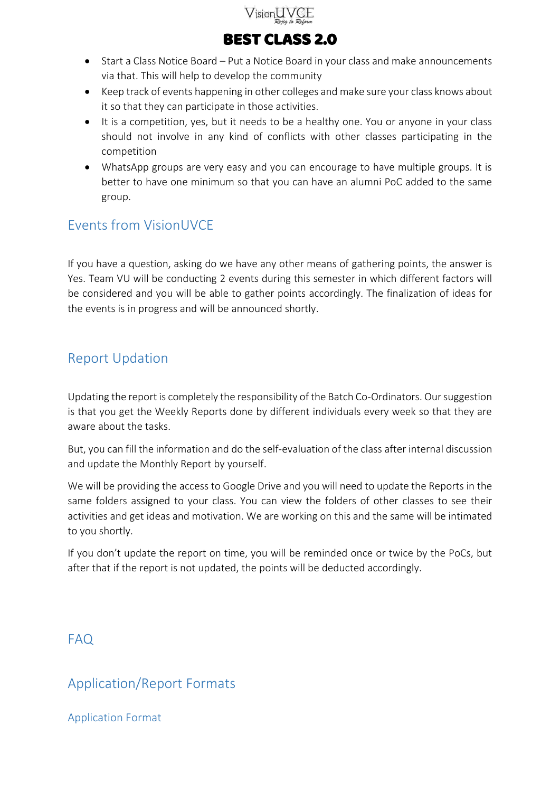

- Start a Class Notice Board Put a Notice Board in your class and make announcements via that. This will help to develop the community
- Keep track of events happening in other colleges and make sure your class knows about it so that they can participate in those activities.
- It is a competition, yes, but it needs to be a healthy one. You or anyone in your class should not involve in any kind of conflicts with other classes participating in the competition
- WhatsApp groups are very easy and you can encourage to have multiple groups. It is better to have one minimum so that you can have an alumni PoC added to the same group.

## <span id="page-9-0"></span>Events from VisionUVCE

If you have a question, asking do we have any other means of gathering points, the answer is Yes. Team VU will be conducting 2 events during this semester in which different factors will be considered and you will be able to gather points accordingly. The finalization of ideas for the events is in progress and will be announced shortly.

### <span id="page-9-1"></span>Report Updation

Updating the report is completely the responsibility of the Batch Co-Ordinators. Our suggestion is that you get the Weekly Reports done by different individuals every week so that they are aware about the tasks.

But, you can fill the information and do the self-evaluation of the class after internal discussion and update the Monthly Report by yourself.

We will be providing the access to Google Drive and you will need to update the Reports in the same folders assigned to your class. You can view the folders of other classes to see their activities and get ideas and motivation. We are working on this and the same will be intimated to you shortly.

If you don't update the report on time, you will be reminded once or twice by the PoCs, but after that if the report is not updated, the points will be deducted accordingly.

### <span id="page-9-2"></span>FAQ

### <span id="page-9-3"></span>Application/Report Formats

<span id="page-9-4"></span>Application Format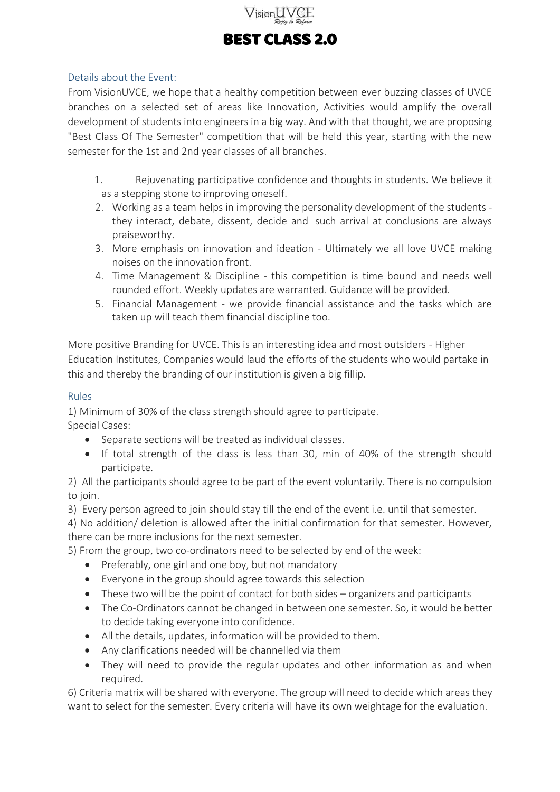

#### <span id="page-10-0"></span>Details about the Event:

From VisionUVCE, we hope that a healthy competition between ever buzzing classes of UVCE branches on a selected set of areas like Innovation, Activities would amplify the overall development of students into engineers in a big way. And with that thought, we are proposing "Best Class Of The Semester" competition that will be held this year, starting with the new semester for the 1st and 2nd year classes of all branches.

- 1. Rejuvenating participative confidence and thoughts in students. We believe it as a stepping stone to improving oneself.
- 2. Working as a team helps in improving the personality development of the students they interact, debate, dissent, decide and such arrival at conclusions are always praiseworthy.
- 3. More emphasis on innovation and ideation Ultimately we all love UVCE making noises on the innovation front.
- 4. Time Management & Discipline this competition is time bound and needs well rounded effort. Weekly updates are warranted. Guidance will be provided.
- 5. Financial Management we provide financial assistance and the tasks which are taken up will teach them financial discipline too.

More positive Branding for UVCE. This is an interesting idea and most outsiders - Higher Education Institutes, Companies would laud the efforts of the students who would partake in this and thereby the branding of our institution is given a big fillip.

#### <span id="page-10-1"></span>Rules

1) Minimum of 30% of the class strength should agree to participate.

- Special Cases:
	- Separate sections will be treated as individual classes.
	- If total strength of the class is less than 30, min of 40% of the strength should participate.

2) All the participants should agree to be part of the event voluntarily. There is no compulsion to join.

3) Every person agreed to join should stay till the end of the event i.e. until that semester.

4) No addition/ deletion is allowed after the initial confirmation for that semester. However, there can be more inclusions for the next semester.

5) From the group, two co-ordinators need to be selected by end of the week:

- Preferably, one girl and one boy, but not mandatory
- Everyone in the group should agree towards this selection
- These two will be the point of contact for both sides organizers and participants
- The Co-Ordinators cannot be changed in between one semester. So, it would be better to decide taking everyone into confidence.
- All the details, updates, information will be provided to them.
- Any clarifications needed will be channelled via them
- They will need to provide the regular updates and other information as and when required.

6) Criteria matrix will be shared with everyone. The group will need to decide which areas they want to select for the semester. Every criteria will have its own weightage for the evaluation.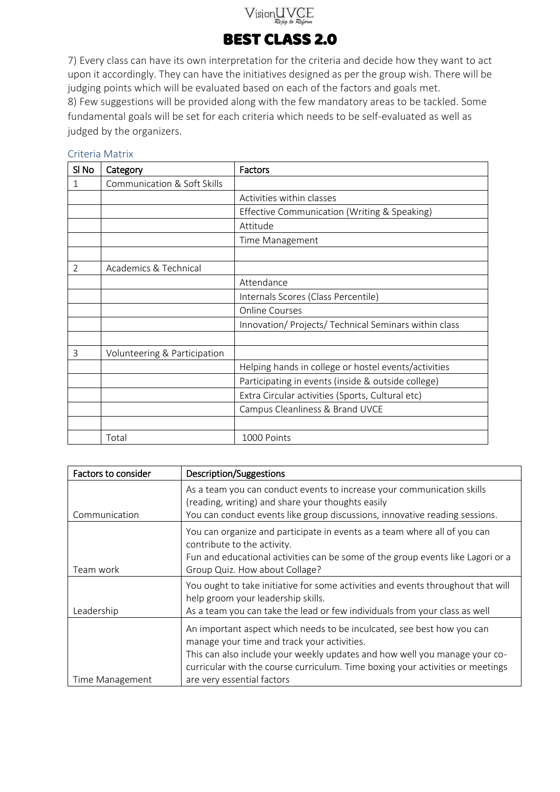## VisionUVCE

## BEST CLASS 2.0

7) Every class can have its own interpretation for the criteria and decide how they want to act upon it accordingly. They can have the initiatives designed as per the group wish. There will be judging points which will be evaluated based on each of the factors and goals met. 8) Few suggestions will be provided along with the few mandatory areas to be tackled. Some fundamental goals will be set for each criteria which needs to be self-evaluated as well as judged by the organizers.

### SI No | Category | Factors 1 Communication & Soft Skills Activities within classes Effective Communication (Writing & Speaking) Attitude Time Management 2 | Academics & Technical Attendance Internals Scores (Class Percentile) Online Courses Innovation/ Projects/ Technical Seminars within class 3 Volunteering & Participation Helping hands in college or hostel events/activities Participating in events (inside & outside college) Extra Circular activities (Sports, Cultural etc) Campus Cleanliness & Brand UVCE Total 1000 Points

| Factors to consider | <b>Description/Suggestions</b>                                                                                                                                                                                                                                                                                      |  |
|---------------------|---------------------------------------------------------------------------------------------------------------------------------------------------------------------------------------------------------------------------------------------------------------------------------------------------------------------|--|
| Communication       | As a team you can conduct events to increase your communication skills<br>(reading, writing) and share your thoughts easily<br>You can conduct events like group discussions, innovative reading sessions.                                                                                                          |  |
| Team work           | You can organize and participate in events as a team where all of you can<br>contribute to the activity.<br>Fun and educational activities can be some of the group events like Lagori or a<br>Group Quiz. How about Collage?                                                                                       |  |
| Leadership          | You ought to take initiative for some activities and events throughout that will<br>help groom your leadership skills.<br>As a team you can take the lead or few individuals from your class as well                                                                                                                |  |
| Time Management     | An important aspect which needs to be inculcated, see best how you can<br>manage your time and track your activities.<br>This can also include your weekly updates and how well you manage your co-<br>curricular with the course curriculum. Time boxing your activities or meetings<br>are very essential factors |  |

### <span id="page-11-0"></span>Criteria Matrix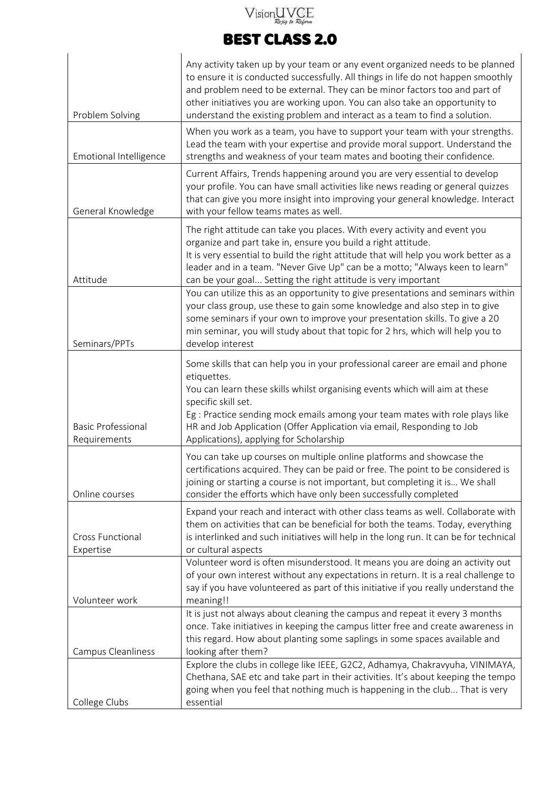# $\sqrt{\text{isionUVGE}}$

## BEST CLASS 2.0

|                                      | Any activity taken up by your team or any event organized needs to be planned<br>to ensure it is conducted successfully. All things in life do not happen smoothly                                                                                                                                                                                                                  |
|--------------------------------------|-------------------------------------------------------------------------------------------------------------------------------------------------------------------------------------------------------------------------------------------------------------------------------------------------------------------------------------------------------------------------------------|
| Problem Solving                      | and problem need to be external. They can be minor factors too and part of<br>other initiatives you are working upon. You can also take an opportunity to<br>understand the existing problem and interact as a team to find a solution.                                                                                                                                             |
| Emotional Intelligence               | When you work as a team, you have to support your team with your strengths.<br>Lead the team with your expertise and provide moral support. Understand the<br>strengths and weakness of your team mates and booting their confidence.                                                                                                                                               |
| General Knowledge                    | Current Affairs, Trends happening around you are very essential to develop<br>your profile. You can have small activities like news reading or general quizzes<br>that can give you more insight into improving your general knowledge. Interact<br>with your fellow teams mates as well.                                                                                           |
| Attitude                             | The right attitude can take you places. With every activity and event you<br>organize and part take in, ensure you build a right attitude.<br>It is very essential to build the right attitude that will help you work better as a<br>leader and in a team. "Never Give Up" can be a motto; "Always keen to learn"<br>can be your goal Setting the right attitude is very important |
| Seminars/PPTs                        | You can utilize this as an opportunity to give presentations and seminars within<br>your class group, use these to gain some knowledge and also step in to give<br>some seminars if your own to improve your presentation skills. To give a 20<br>min seminar, you will study about that topic for 2 hrs, which will help you to<br>develop interest                                |
| <b>Basic Professional</b>            | Some skills that can help you in your professional career are email and phone<br>etiquettes.<br>You can learn these skills whilst organising events which will aim at these<br>specific skill set.<br>Eg : Practice sending mock emails among your team mates with role plays like<br>HR and Job Application (Offer Application via email, Responding to Job                        |
| Requirements<br>Online courses       | Applications), applying for Scholarship<br>You can take up courses on multiple online platforms and showcase the<br>certifications acquired. They can be paid or free. The point to be considered is<br>joining or starting a course is not important, but completing it is We shall<br>consider the efforts which have only been successfully completed                            |
| <b>Cross Functional</b><br>Expertise | Expand your reach and interact with other class teams as well. Collaborate with<br>them on activities that can be beneficial for both the teams. Today, everything<br>is interlinked and such initiatives will help in the long run. It can be for technical<br>or cultural aspects                                                                                                 |
| Volunteer work                       | Volunteer word is often misunderstood. It means you are doing an activity out<br>of your own interest without any expectations in return. It is a real challenge to<br>say if you have volunteered as part of this initiative if you really understand the<br>meaning!!                                                                                                             |
| Campus Cleanliness                   | It is just not always about cleaning the campus and repeat it every 3 months<br>once. Take initiatives in keeping the campus litter free and create awareness in<br>this regard. How about planting some saplings in some spaces available and<br>looking after them?                                                                                                               |
| College Clubs                        | Explore the clubs in college like IEEE, G2C2, Adhamya, Chakravyuha, VINIMAYA,<br>Chethana, SAE etc and take part in their activities. It's about keeping the tempo<br>going when you feel that nothing much is happening in the club That is very<br>essential                                                                                                                      |
|                                      |                                                                                                                                                                                                                                                                                                                                                                                     |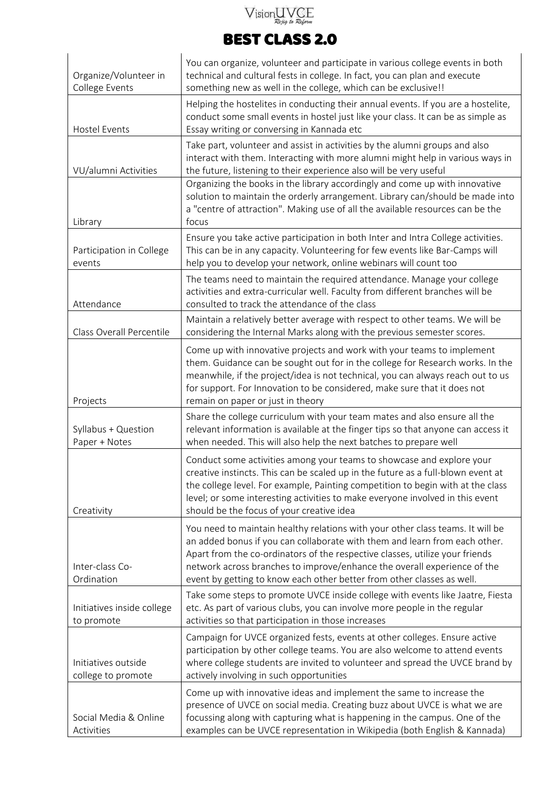# $V$ ision $\bigcup_{\mathcal{R} \textrm{e} \neq \textrm{e}} \bigvee_{\mathcal{R} \textrm{e} \neq \textrm{e}} \bigcup_{\mathcal{R} \textrm{e} \textrm{form}}$

## BEST CLASS 2.0

| Organize/Volunteer in                                                                                                                                                                                                                                          | You can organize, volunteer and participate in various college events in both<br>technical and cultural fests in college. In fact, you can plan and execute                                                                                                                                                                                                                                        |
|----------------------------------------------------------------------------------------------------------------------------------------------------------------------------------------------------------------------------------------------------------------|----------------------------------------------------------------------------------------------------------------------------------------------------------------------------------------------------------------------------------------------------------------------------------------------------------------------------------------------------------------------------------------------------|
| College Events<br><b>Hostel Events</b>                                                                                                                                                                                                                         | something new as well in the college, which can be exclusive!!<br>Helping the hostelites in conducting their annual events. If you are a hostelite,<br>conduct some small events in hostel just like your class. It can be as simple as<br>Essay writing or conversing in Kannada etc                                                                                                              |
| VU/alumni Activities                                                                                                                                                                                                                                           | Take part, volunteer and assist in activities by the alumni groups and also<br>interact with them. Interacting with more alumni might help in various ways in<br>the future, listening to their experience also will be very useful                                                                                                                                                                |
| Library                                                                                                                                                                                                                                                        | Organizing the books in the library accordingly and come up with innovative<br>solution to maintain the orderly arrangement. Library can/should be made into<br>a "centre of attraction". Making use of all the available resources can be the<br>focus                                                                                                                                            |
| Participation in College<br>events                                                                                                                                                                                                                             | Ensure you take active participation in both Inter and Intra College activities.<br>This can be in any capacity. Volunteering for few events like Bar-Camps will<br>help you to develop your network, online webinars will count too                                                                                                                                                               |
| Attendance                                                                                                                                                                                                                                                     | The teams need to maintain the required attendance. Manage your college<br>activities and extra-curricular well. Faculty from different branches will be<br>consulted to track the attendance of the class                                                                                                                                                                                         |
| Class Overall Percentile                                                                                                                                                                                                                                       | Maintain a relatively better average with respect to other teams. We will be<br>considering the Internal Marks along with the previous semester scores.                                                                                                                                                                                                                                            |
| Projects                                                                                                                                                                                                                                                       | Come up with innovative projects and work with your teams to implement<br>them. Guidance can be sought out for in the college for Research works. In the<br>meanwhile, if the project/idea is not technical, you can always reach out to us<br>for support. For Innovation to be considered, make sure that it does not<br>remain on paper or just in theory                                       |
| Syllabus + Question<br>Paper + Notes                                                                                                                                                                                                                           | Share the college curriculum with your team mates and also ensure all the<br>relevant information is available at the finger tips so that anyone can access it<br>when needed. This will also help the next batches to prepare well                                                                                                                                                                |
| Creativity                                                                                                                                                                                                                                                     | Conduct some activities among your teams to showcase and explore your<br>creative instincts. This can be scaled up in the future as a full-blown event at<br>the college level. For example, Painting competition to begin with at the class<br>level; or some interesting activities to make everyone involved in this event<br>should be the focus of your creative idea                         |
| Inter-class Co-<br>Ordination                                                                                                                                                                                                                                  | You need to maintain healthy relations with your other class teams. It will be<br>an added bonus if you can collaborate with them and learn from each other.<br>Apart from the co-ordinators of the respective classes, utilize your friends<br>network across branches to improve/enhance the overall experience of the<br>event by getting to know each other better from other classes as well. |
| Take some steps to promote UVCE inside college with events like Jaatre, Fiesta<br>etc. As part of various clubs, you can involve more people in the regular<br>Initiatives inside college<br>activities so that participation in those increases<br>to promote |                                                                                                                                                                                                                                                                                                                                                                                                    |
| Initiatives outside<br>college to promote                                                                                                                                                                                                                      | Campaign for UVCE organized fests, events at other colleges. Ensure active<br>participation by other college teams. You are also welcome to attend events<br>where college students are invited to volunteer and spread the UVCE brand by<br>actively involving in such opportunities                                                                                                              |
| Social Media & Online<br>Activities                                                                                                                                                                                                                            | Come up with innovative ideas and implement the same to increase the<br>presence of UVCE on social media. Creating buzz about UVCE is what we are<br>focussing along with capturing what is happening in the campus. One of the<br>examples can be UVCE representation in Wikipedia (both English & Kannada)                                                                                       |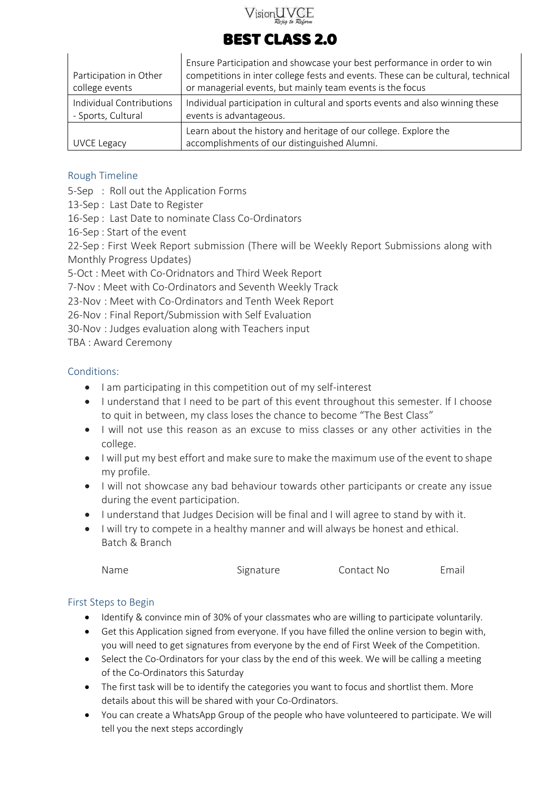

|                                                | Ensure Participation and showcase your best performance in order to win                                  |  |
|------------------------------------------------|----------------------------------------------------------------------------------------------------------|--|
| Participation in Other                         | competitions in inter college fests and events. These can be cultural, technical                         |  |
| college events                                 | or managerial events, but mainly team events is the focus                                                |  |
| Individual Contributions<br>- Sports, Cultural | Individual participation in cultural and sports events and also winning these<br>events is advantageous. |  |
|                                                | Learn about the history and heritage of our college. Explore the                                         |  |
| UVCE Legacy                                    | accomplishments of our distinguished Alumni.                                                             |  |

#### <span id="page-14-0"></span>Rough Timeline

5-Sep : Roll out the Application Forms

13-Sep : Last Date to Register

16-Sep : Last Date to nominate Class Co-Ordinators

16-Sep : Start of the event

22-Sep : First Week Report submission (There will be Weekly Report Submissions along with Monthly Progress Updates)

5-Oct : Meet with Co-Oridnators and Third Week Report

7-Nov : Meet with Co-Ordinators and Seventh Weekly Track

23-Nov : Meet with Co-Ordinators and Tenth Week Report

26-Nov : Final Report/Submission with Self Evaluation

30-Nov : Judges evaluation along with Teachers input

TBA : Award Ceremony

#### <span id="page-14-1"></span>Conditions:

- I am participating in this competition out of my self-interest
- I understand that I need to be part of this event throughout this semester. If I choose to quit in between, my class loses the chance to become "The Best Class"
- I will not use this reason as an excuse to miss classes or any other activities in the college.
- I will put my best effort and make sure to make the maximum use of the event to shape my profile.
- I will not showcase any bad behaviour towards other participants or create any issue during the event participation.
- I understand that Judges Decision will be final and I will agree to stand by with it.
- I will try to compete in a healthy manner and will always be honest and ethical. Batch & Branch

| Name | Signature | Contact No | Email |
|------|-----------|------------|-------|
|      |           |            |       |

#### <span id="page-14-2"></span>First Steps to Begin

- Identify & convince min of 30% of your classmates who are willing to participate voluntarily.
- Get this Application signed from everyone. If you have filled the online version to begin with, you will need to get signatures from everyone by the end of First Week of the Competition.
- Select the Co-Ordinators for your class by the end of this week. We will be calling a meeting of the Co-Ordinators this Saturday
- The first task will be to identify the categories you want to focus and shortlist them. More details about this will be shared with your Co-Ordinators.
- You can create a WhatsApp Group of the people who have volunteered to participate. We will tell you the next steps accordingly